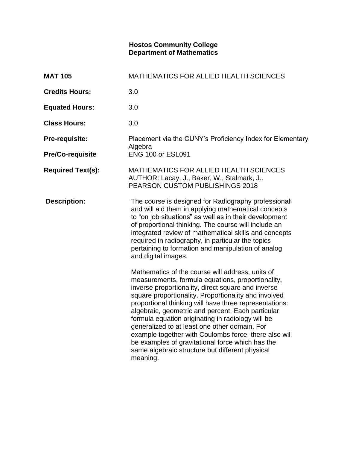## **Hostos Community College Department of Mathematics**

| <b>MAT 105</b>           | <b>MATHEMATICS FOR ALLIED HEALTH SCIENCES</b>                                                                                                                                                                                                                                                                                                                                                                                                                                                                                                                                                                        |
|--------------------------|----------------------------------------------------------------------------------------------------------------------------------------------------------------------------------------------------------------------------------------------------------------------------------------------------------------------------------------------------------------------------------------------------------------------------------------------------------------------------------------------------------------------------------------------------------------------------------------------------------------------|
| <b>Credits Hours:</b>    | 3.0                                                                                                                                                                                                                                                                                                                                                                                                                                                                                                                                                                                                                  |
| <b>Equated Hours:</b>    | 3.0                                                                                                                                                                                                                                                                                                                                                                                                                                                                                                                                                                                                                  |
| <b>Class Hours:</b>      | 3.0                                                                                                                                                                                                                                                                                                                                                                                                                                                                                                                                                                                                                  |
| Pre-requisite:           | Placement via the CUNY's Proficiency Index for Elementary                                                                                                                                                                                                                                                                                                                                                                                                                                                                                                                                                            |
| <b>Pre/Co-requisite</b>  | Algebra<br><b>ENG 100 or ESL091</b>                                                                                                                                                                                                                                                                                                                                                                                                                                                                                                                                                                                  |
| <b>Required Text(s):</b> | MATHEMATICS FOR ALLIED HEALTH SCIENCES<br>AUTHOR: Lacay, J., Baker, W., Stalmark, J<br>PEARSON CUSTOM PUBLISHINGS 2018                                                                                                                                                                                                                                                                                                                                                                                                                                                                                               |
| <b>Description:</b>      | The course is designed for Radiography professionals<br>and will aid them in applying mathematical concepts<br>to "on job situations" as well as in their development<br>of proportional thinking. The course will include an<br>integrated review of mathematical skills and concepts<br>required in radiography, in particular the topics<br>pertaining to formation and manipulation of analog<br>and digital images.                                                                                                                                                                                             |
|                          | Mathematics of the course will address, units of<br>measurements, formula equations, proportionality,<br>inverse proportionality, direct square and inverse<br>square proportionality. Proportionality and involved<br>proportional thinking will have three representations:<br>algebraic, geometric and percent. Each particular<br>formula equation originating in radiology will be<br>generalized to at least one other domain. For<br>example together with Coulombs force, there also will<br>be examples of gravitational force which has the<br>same algebraic structure but different physical<br>meaning. |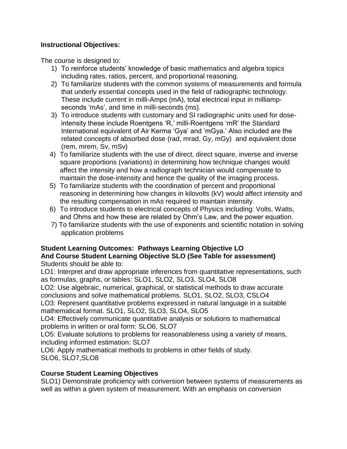# **Instructional Objectives:**

The course is designed to:

- 1) To reinforce students' knowledge of basic mathematics and algebra topics including rates, ratios, percent, and proportional reasoning.
- 2) To familiarize students with the common systems of measurements and formula that underly essential concepts used in the field of radiographic technology. These include current in milli-Amps (mA), total electrical input in milliampseconds 'mAs', and time in milli-seconds (ms).
- 3) To introduce students with customary and SI radiographic units used for doseintensity these include Roentgens 'R,' milli-Roentgens 'mR' the Standard International equivalent of Air Kerma 'Gya' and 'mGya.' Also included are the related concepts of absorbed dose (rad, mrad, Gy, mGy) and equivalent dose (rem, mrem, Sv, mSv)
- 4) To familiarize students with the use of direct, direct square, inverse and inverse square proportions (variations) in determining how technique changes would affect the intensity and how a radiograph technician would compensate to maintain the dose-intensity and hence the quality of the imaging process.
- 5) To familiarize students with the coordination of percent and proportional reasoning in determining how changes in kilovolts (kV) would affect intensity and the resulting compensation in mAs required to maintain intensity.
- 6) To introduce students to electrical concepts of Physics including: Volts, Watts, and Ohms and how these are related by Ohm's Law, and the power equation.
- 7) To familiarize students with the use of exponents and scientific notation in solving application problems

## **Student Learning Outcomes: Pathways Learning Objective LO And Course Student Learning Objective SLO (See Table for assessment)** Students should be able to:

LO1: Interpret and draw appropriate inferences from quantitative representations, such as formulas, graphs, or tables: SLO1, SLO2, SLO3, SLO4, SLO8

LO2: Use algebraic, numerical, graphical, or statistical methods to draw accurate conclusions and solve mathematical problems. SLO1, SLO2, SLO3, CSLO4

LO3: Represent quantitative problems expressed in natural language in a suitable mathematical format. SLO1, SLO2, SLO3, SLO4, SLO5

LO4: Effectively communicate quantitative analysis or solutions to mathematical problems in written or oral form: SLO6, SLO7

LO5: Evaluate solutions to problems for reasonableness using a variety of means, including informed estimation: SLO7

LO6: Apply mathematical methods to problems in other fields of study. SLO6, SLO7,SLO8

# **Course Student Learning Objectives**

SLO1) Demonstrate proficiency with conversion between systems of measurements as well as within a given system of measurement. With an emphasis on conversion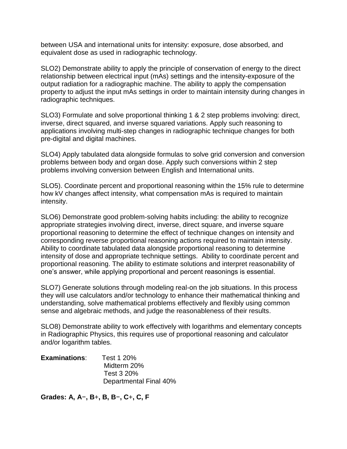between USA and international units for intensity: exposure, dose absorbed, and equivalent dose as used in radiographic technology.

SLO2) Demonstrate ability to apply the principle of conservation of energy to the direct relationship between electrical input (mAs) settings and the intensity-exposure of the output radiation for a radiographic machine. The ability to apply the compensation property to adjust the input mAs settings in order to maintain intensity during changes in radiographic techniques.

SLO3) Formulate and solve proportional thinking 1 & 2 step problems involving: direct, inverse, direct squared, and inverse squared variations. Apply such reasoning to applications involving multi-step changes in radiographic technique changes for both pre-digital and digital machines.

SLO4) Apply tabulated data alongside formulas to solve grid conversion and conversion problems between body and organ dose. Apply such conversions within 2 step problems involving conversion between English and International units.

SLO5). Coordinate percent and proportional reasoning within the 15% rule to determine how kV changes affect intensity, what compensation mAs is required to maintain intensity.

SLO6) Demonstrate good problem-solving habits including: the ability to recognize appropriate strategies involving direct, inverse, direct square, and inverse square proportional reasoning to determine the effect of technique changes on intensity and corresponding reverse proportional reasoning actions required to maintain intensity. Ability to coordinate tabulated data alongside proportional reasoning to determine intensity of dose and appropriate technique settings. Ability to coordinate percent and proportional reasoning. The ability to estimate solutions and interpret reasonability of one's answer, while applying proportional and percent reasonings is essential.

SLO7) Generate solutions through modeling real-on the job situations. In this process they will use calculators and/or technology to enhance their mathematical thinking and understanding, solve mathematical problems effectively and flexibly using common sense and algebraic methods, and judge the reasonableness of their results.

SLO8) Demonstrate ability to work effectively with logarithms and elementary concepts in Radiographic Physics, this requires use of proportional reasoning and calculator and/or logarithm tables.

| <b>Examinations:</b> | Test 1 20%             |
|----------------------|------------------------|
|                      | Midterm 20%            |
|                      | Test 3 20%             |
|                      | Departmental Final 40% |

**Grades: A, A**−**, B**+**, B, B**−**, C**+**, C, F**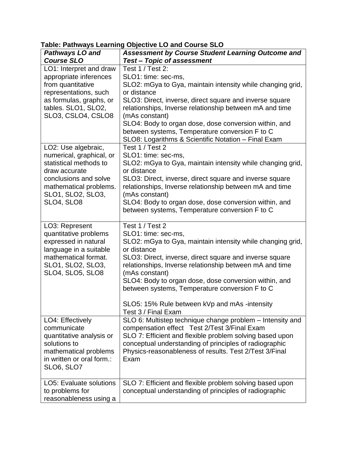| <u>amidi i amin'ayu buarimi</u><br><b>Pathways LO and</b>                                                                                                                        | $\frac{1}{2}$ or $\frac{1}{2}$ of $\frac{1}{2}$ of $\frac{1}{2}$ or $\frac{1}{2}$ or $\frac{1}{2}$<br>Assessment by Course Student Learning Outcome and                                                                                                                                                                                                                                                                                        |
|----------------------------------------------------------------------------------------------------------------------------------------------------------------------------------|------------------------------------------------------------------------------------------------------------------------------------------------------------------------------------------------------------------------------------------------------------------------------------------------------------------------------------------------------------------------------------------------------------------------------------------------|
| <b>Course SLO</b>                                                                                                                                                                | <b>Test-Topic of assessment</b>                                                                                                                                                                                                                                                                                                                                                                                                                |
| LO1: Interpret and draw<br>appropriate inferences<br>from quantitative<br>representations, such<br>as formulas, graphs, or<br>tables. SLO1, SLO2,<br>SLO3, CSLO4, CSLO8          | Test 1 / Test 2:<br>SLO1: time: sec-ms,<br>SLO2: mGya to Gya, maintain intensity while changing grid,<br>or distance<br>SLO3: Direct, inverse, direct square and inverse square<br>relationships, Inverse relationship between mA and time<br>(mAs constant)<br>SLO4: Body to organ dose, dose conversion within, and<br>between systems, Temperature conversion F to C<br>SLO8: Logarithms & Scientific Notation - Final Exam                 |
| LO2: Use algebraic,<br>numerical, graphical, or<br>statistical methods to<br>draw accurate<br>conclusions and solve<br>mathematical problems.<br>SLO1, SLO2, SLO3,<br>SLO4, SLO8 | Test 1 / Test 2<br>SLO1: time: sec-ms,<br>SLO2: mGya to Gya, maintain intensity while changing grid,<br>or distance<br>SLO3: Direct, inverse, direct square and inverse square<br>relationships, Inverse relationship between mA and time<br>(mAs constant)<br>SLO4: Body to organ dose, dose conversion within, and<br>between systems, Temperature conversion F to C                                                                         |
| LO3: Represent<br>quantitative problems<br>expressed in natural<br>language in a suitable<br>mathematical format.<br>SLO1, SLO2, SLO3,<br>SLO4, SLO5, SLO8                       | Test 1 / Test 2<br>SLO1: time: sec-ms,<br>SLO2: mGya to Gya, maintain intensity while changing grid,<br>or distance<br>SLO3: Direct, inverse, direct square and inverse square<br>relationships, Inverse relationship between mA and time<br>(mAs constant)<br>SLO4: Body to organ dose, dose conversion within, and<br>between systems, Temperature conversion F to C<br>SLO5: 15% Rule between kVp and mAs -intensity<br>Test 3 / Final Exam |
| LO4: Effectively<br>communicate<br>quantitative analysis or<br>solutions to<br>mathematical problems<br>in written or oral form.:<br>SLO6, SLO7                                  | SLO 6: Multistep technique change problem - Intensity and<br>compensation effect Test 2/Test 3/Final Exam<br>SLO 7: Efficient and flexible problem solving based upon<br>conceptual understanding of principles of radiographic<br>Physics-reasonableness of results. Test 2/Test 3/Final<br>Exam                                                                                                                                              |
| <b>LO5: Evaluate solutions</b><br>to problems for<br>reasonableness using a                                                                                                      | SLO 7: Efficient and flexible problem solving based upon<br>conceptual understanding of principles of radiographic                                                                                                                                                                                                                                                                                                                             |

## **Table: Pathways Learning Objective LO and Course SLO**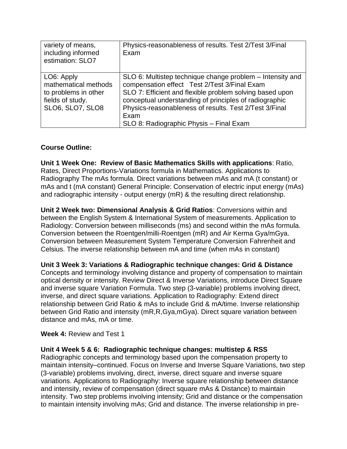| variety of means,<br>including informed<br>estimation: SLO7                                        | Physics-reasonableness of results. Test 2/Test 3/Final<br>Exam                                                                                                                                                                                                                                                                               |
|----------------------------------------------------------------------------------------------------|----------------------------------------------------------------------------------------------------------------------------------------------------------------------------------------------------------------------------------------------------------------------------------------------------------------------------------------------|
| LO6: Apply<br>mathematical methods<br>to problems in other<br>fields of study.<br>SLO6, SLO7, SLO8 | SLO 6: Multistep technique change problem – Intensity and<br>compensation effect Test 2/Test 3/Final Exam<br>SLO 7: Efficient and flexible problem solving based upon<br>conceptual understanding of principles of radiographic<br>Physics-reasonableness of results. Test 2/Test 3/Final<br>Exam<br>SLO 8: Radiographic Physis - Final Exam |

# **Course Outline:**

**Unit 1 Week One: Review of Basic Mathematics Skills with applications**: Ratio, Rates, Direct Proportions-Variations formula in Mathematics. Applications to Radiography The mAs formula. Direct variations between mAs and mA (t constant) or mAs and t (mA constant) General Principle: Conservation of electric input energy (mAs) and radiographic intensity - output energy (mR) & the resulting direct relationship.

**Unit 2 Week two: Dimensional Analysis & Grid Ratios**: Conversions within and between the English System & International System of measurements. Application to Radiology: Conversion between milliseconds (ms) and second within the mAs formula. Conversion between the Roentgen/milli-Roentgen (mR) and Air Kerma Gya/mGya. Conversion between Measurement System Temperature Conversion Fahrenheit and Celsius. The inverse relationship between mA and time (when mAs in constant)

**Unit 3 Week 3: Variations & Radiographic technique changes: Grid & Distance** 

Concepts and terminology involving distance and property of compensation to maintain optical density or intensity. Review Direct & Inverse Variations, introduce Direct Square and inverse square Variation Formula. Two step (3-variable) problems involving direct, inverse, and direct square variations. Application to Radiography: Extend direct relationship between Grid Ratio & mAs to include Grid & mA/time. Inverse relationship between Grid Ratio and intensity (mR,R,Gya,mGya). Direct square variation between distance and mAs, mA or time.

## **Week 4:** Review and Test 1

## **Unit 4 Week 5 & 6: Radiographic technique changes: multistep & RSS**

Radiographic concepts and terminology based upon the compensation property to maintain intensity–continued. Focus on Inverse and Inverse Square Variations, two step (3-variable) problems involving, direct, inverse, direct square and inverse square variations. Applications to Radiography: Inverse square relationship between distance and intensity, review of compensation (direct square mAs & Distance) to maintain intensity. Two step problems involving intensity; Grid and distance or the compensation to maintain intensity involving mAs; Grid and distance. The inverse relationship in pre